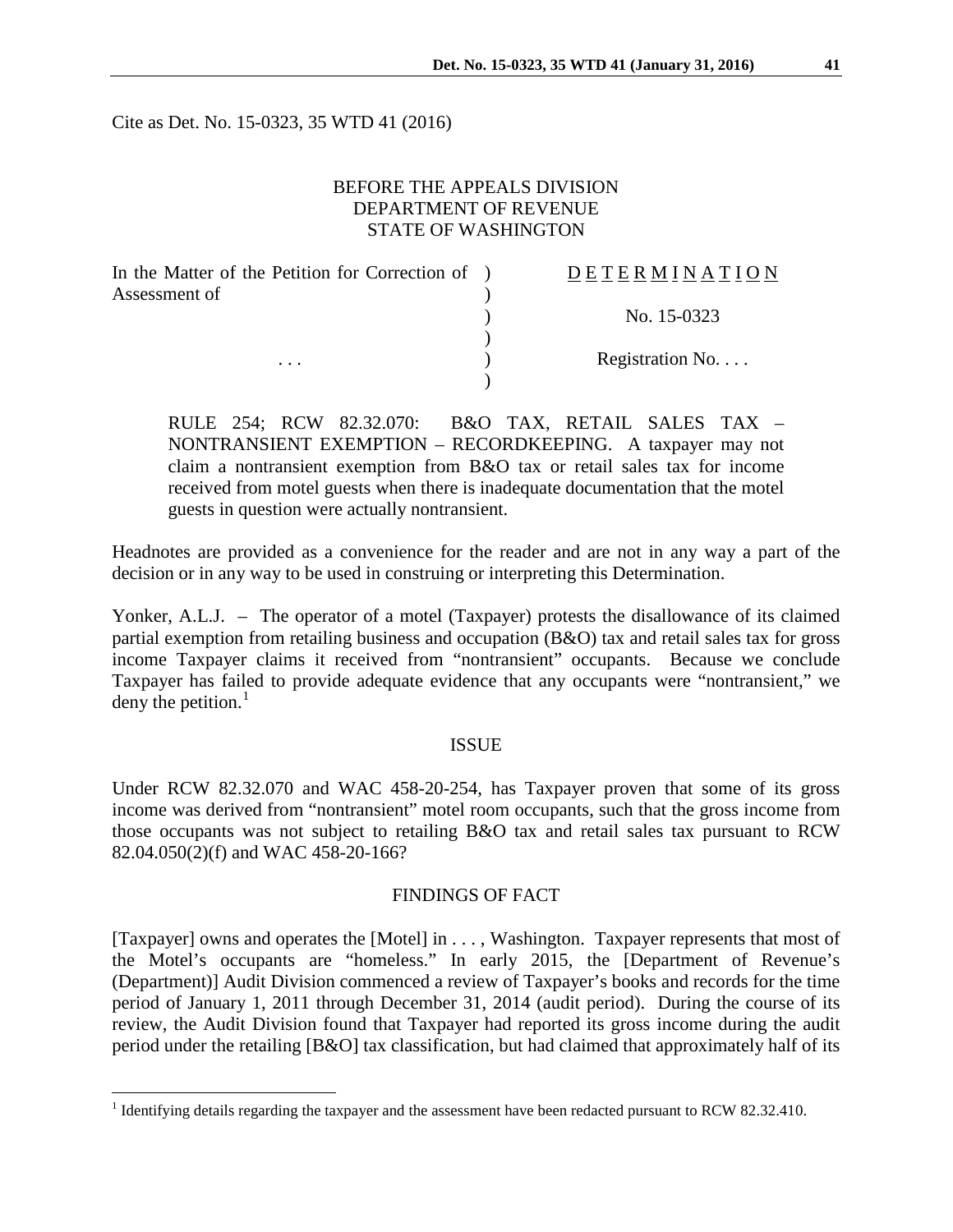Cite as Det. No. 15-0323, 35 WTD 41 (2016)

# BEFORE THE APPEALS DIVISION DEPARTMENT OF REVENUE STATE OF WASHINGTON

| In the Matter of the Petition for Correction of ) | <b>DETERMINATION</b> |
|---------------------------------------------------|----------------------|
| Assessment of                                     |                      |
|                                                   | No. 15-0323          |
|                                                   |                      |
| $\cdots$                                          | Registration No.     |
|                                                   |                      |

RULE 254; RCW 82.32.070: B&O TAX, RETAIL SALES TAX – NONTRANSIENT EXEMPTION – RECORDKEEPING. A taxpayer may not claim a nontransient exemption from B&O tax or retail sales tax for income received from motel guests when there is inadequate documentation that the motel guests in question were actually nontransient.

Headnotes are provided as a convenience for the reader and are not in any way a part of the decision or in any way to be used in construing or interpreting this Determination.

Yonker, A.L.J. – The operator of a motel (Taxpayer) protests the disallowance of its claimed partial exemption from retailing business and occupation (B&O) tax and retail sales tax for gross income Taxpayer claims it received from "nontransient" occupants. Because we conclude Taxpayer has failed to provide adequate evidence that any occupants were "nontransient," we deny the petition. $<sup>1</sup>$  $<sup>1</sup>$  $<sup>1</sup>$ </sup>

#### ISSUE

Under RCW 82.32.070 and WAC 458-20-254, has Taxpayer proven that some of its gross income was derived from "nontransient" motel room occupants, such that the gross income from those occupants was not subject to retailing B&O tax and retail sales tax pursuant to RCW 82.04.050(2)(f) and WAC 458-20-166?

#### FINDINGS OF FACT

[Taxpayer] owns and operates the [Motel] in . . . , Washington. Taxpayer represents that most of the Motel's occupants are "homeless." In early 2015, the [Department of Revenue's (Department)] Audit Division commenced a review of Taxpayer's books and records for the time period of January 1, 2011 through December 31, 2014 (audit period). During the course of its review, the Audit Division found that Taxpayer had reported its gross income during the audit period under the retailing [B&O] tax classification, but had claimed that approximately half of its

<span id="page-0-0"></span><sup>&</sup>lt;sup>1</sup> Identifying details regarding the taxpayer and the assessment have been redacted pursuant to RCW 82.32.410.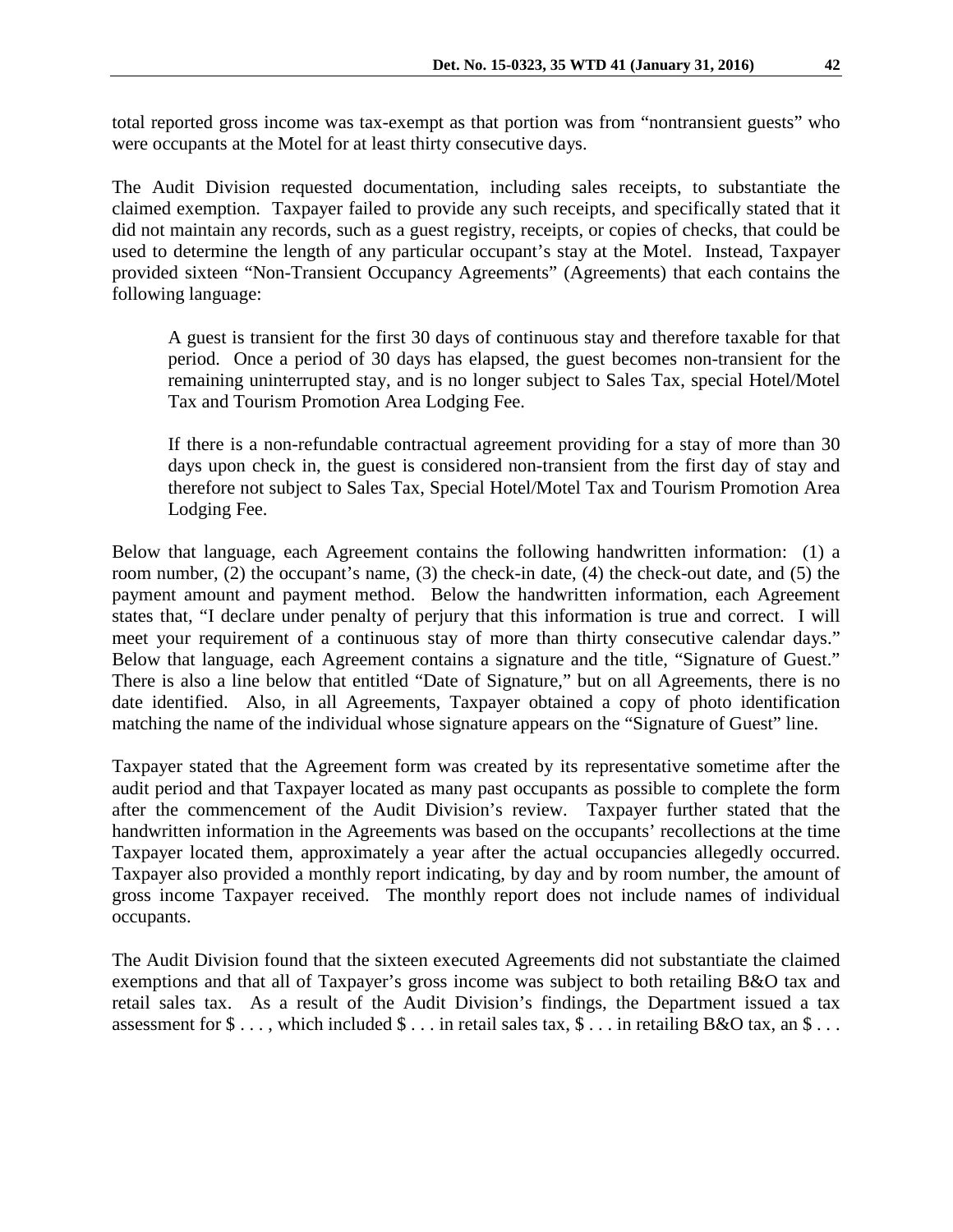total reported gross income was tax-exempt as that portion was from "nontransient guests" who were occupants at the Motel for at least thirty consecutive days.

The Audit Division requested documentation, including sales receipts, to substantiate the claimed exemption. Taxpayer failed to provide any such receipts, and specifically stated that it did not maintain any records, such as a guest registry, receipts, or copies of checks, that could be used to determine the length of any particular occupant's stay at the Motel. Instead, Taxpayer provided sixteen "Non-Transient Occupancy Agreements" (Agreements) that each contains the following language:

A guest is transient for the first 30 days of continuous stay and therefore taxable for that period. Once a period of 30 days has elapsed, the guest becomes non-transient for the remaining uninterrupted stay, and is no longer subject to Sales Tax, special Hotel/Motel Tax and Tourism Promotion Area Lodging Fee.

If there is a non-refundable contractual agreement providing for a stay of more than 30 days upon check in, the guest is considered non-transient from the first day of stay and therefore not subject to Sales Tax, Special Hotel/Motel Tax and Tourism Promotion Area Lodging Fee.

Below that language, each Agreement contains the following handwritten information: (1) a room number, (2) the occupant's name, (3) the check-in date, (4) the check-out date, and (5) the payment amount and payment method. Below the handwritten information, each Agreement states that, "I declare under penalty of perjury that this information is true and correct. I will meet your requirement of a continuous stay of more than thirty consecutive calendar days." Below that language, each Agreement contains a signature and the title, "Signature of Guest." There is also a line below that entitled "Date of Signature," but on all Agreements, there is no date identified. Also, in all Agreements, Taxpayer obtained a copy of photo identification matching the name of the individual whose signature appears on the "Signature of Guest" line.

Taxpayer stated that the Agreement form was created by its representative sometime after the audit period and that Taxpayer located as many past occupants as possible to complete the form after the commencement of the Audit Division's review. Taxpayer further stated that the handwritten information in the Agreements was based on the occupants' recollections at the time Taxpayer located them, approximately a year after the actual occupancies allegedly occurred. Taxpayer also provided a monthly report indicating, by day and by room number, the amount of gross income Taxpayer received. The monthly report does not include names of individual occupants.

The Audit Division found that the sixteen executed Agreements did not substantiate the claimed exemptions and that all of Taxpayer's gross income was subject to both retailing B&O tax and retail sales tax. As a result of the Audit Division's findings, the Department issued a tax assessment for  $\$\ldots$ , which included  $\$\ldots$  in retail sales tax,  $\$\ldots$  in retailing B&O tax, an  $\$\ldots$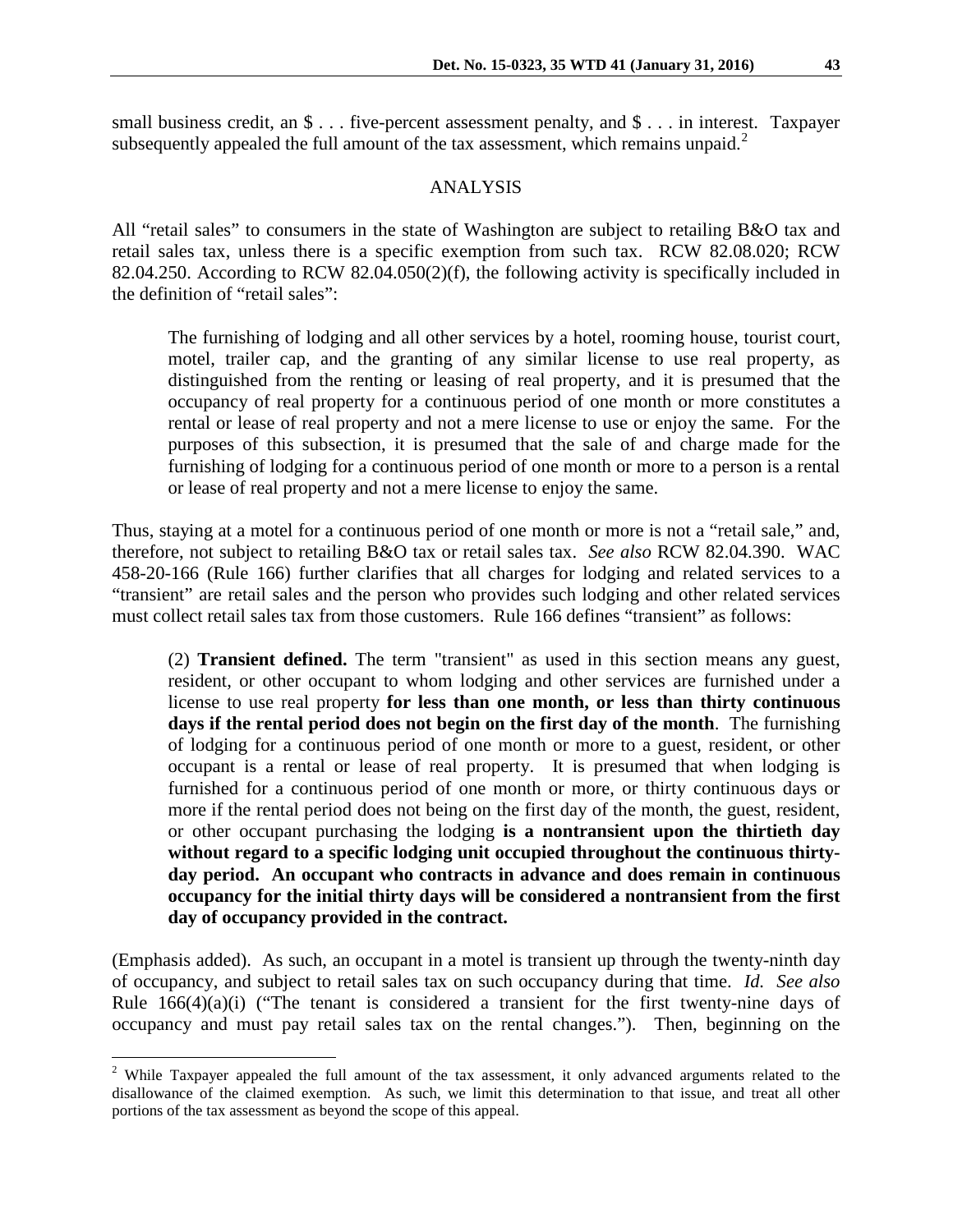small business credit, an  $\frac{1}{2}$ ... five-percent assessment penalty, and  $\frac{1}{2}$ ... in interest. Taxpayer subsequently appealed the full amount of the tax assessment, which remains unpaid. $2$ 

#### ANALYSIS

All "retail sales" to consumers in the state of Washington are subject to retailing B&O tax and retail sales tax, unless there is a specific exemption from such tax. RCW 82.08.020; RCW 82.04.250. According to RCW 82.04.050(2)(f), the following activity is specifically included in the definition of "retail sales":

The furnishing of lodging and all other services by a hotel, rooming house, tourist court, motel, trailer cap, and the granting of any similar license to use real property, as distinguished from the renting or leasing of real property, and it is presumed that the occupancy of real property for a continuous period of one month or more constitutes a rental or lease of real property and not a mere license to use or enjoy the same. For the purposes of this subsection, it is presumed that the sale of and charge made for the furnishing of lodging for a continuous period of one month or more to a person is a rental or lease of real property and not a mere license to enjoy the same.

Thus, staying at a motel for a continuous period of one month or more is not a "retail sale," and, therefore, not subject to retailing B&O tax or retail sales tax. *See also* RCW 82.04.390. WAC 458-20-166 (Rule 166) further clarifies that all charges for lodging and related services to a "transient" are retail sales and the person who provides such lodging and other related services must collect retail sales tax from those customers. Rule 166 defines "transient" as follows:

(2) **Transient defined.** The term "transient" as used in this section means any guest, resident, or other occupant to whom lodging and other services are furnished under a license to use real property **for less than one month, or less than thirty continuous days if the rental period does not begin on the first day of the month**. The furnishing of lodging for a continuous period of one month or more to a guest, resident, or other occupant is a rental or lease of real property. It is presumed that when lodging is furnished for a continuous period of one month or more, or thirty continuous days or more if the rental period does not being on the first day of the month, the guest, resident, or other occupant purchasing the lodging **is a nontransient upon the thirtieth day without regard to a specific lodging unit occupied throughout the continuous thirtyday period. An occupant who contracts in advance and does remain in continuous occupancy for the initial thirty days will be considered a nontransient from the first day of occupancy provided in the contract.**

(Emphasis added). As such, an occupant in a motel is transient up through the twenty-ninth day of occupancy, and subject to retail sales tax on such occupancy during that time. *Id. See also*  Rule  $166(4)(a)(i)$  ("The tenant is considered a transient for the first twenty-nine days of occupancy and must pay retail sales tax on the rental changes."). Then, beginning on the

<span id="page-2-0"></span><sup>&</sup>lt;sup>2</sup> While Taxpayer appealed the full amount of the tax assessment, it only advanced arguments related to the disallowance of the claimed exemption. As such, we limit this determination to that issue, and treat all other portions of the tax assessment as beyond the scope of this appeal.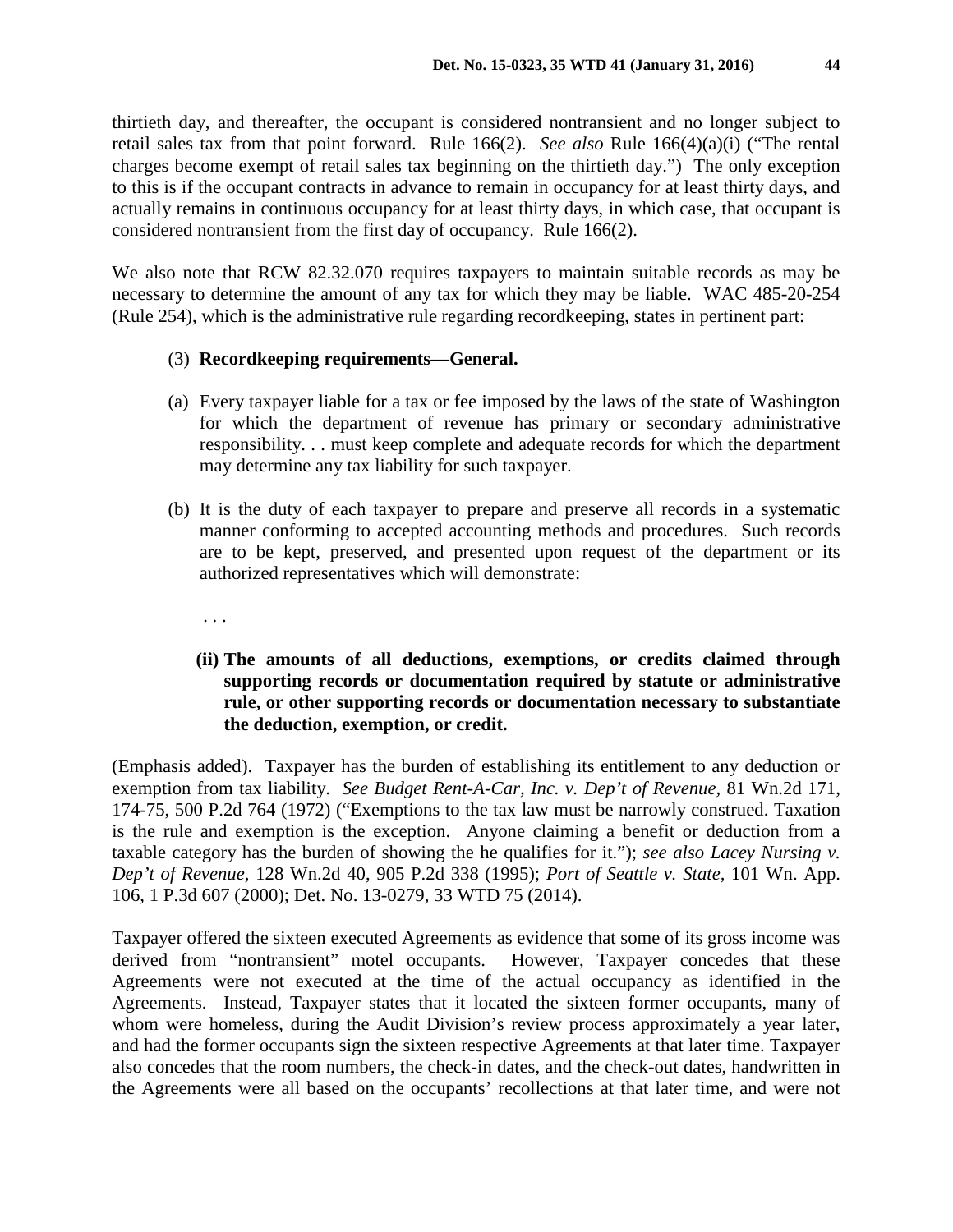thirtieth day, and thereafter, the occupant is considered nontransient and no longer subject to retail sales tax from that point forward. Rule 166(2). *See also* Rule 166(4)(a)(i) ("The rental charges become exempt of retail sales tax beginning on the thirtieth day.") The only exception to this is if the occupant contracts in advance to remain in occupancy for at least thirty days, and actually remains in continuous occupancy for at least thirty days, in which case, that occupant is considered nontransient from the first day of occupancy. Rule 166(2).

We also note that RCW 82.32.070 requires taxpayers to maintain suitable records as may be necessary to determine the amount of any tax for which they may be liable. WAC 485-20-254 (Rule 254), which is the administrative rule regarding recordkeeping, states in pertinent part:

### (3) **Recordkeeping requirements—General.**

- (a) Every taxpayer liable for a tax or fee imposed by the laws of the state of Washington for which the department of revenue has primary or secondary administrative responsibility. . . must keep complete and adequate records for which the department may determine any tax liability for such taxpayer.
- (b) It is the duty of each taxpayer to prepare and preserve all records in a systematic manner conforming to accepted accounting methods and procedures. Such records are to be kept, preserved, and presented upon request of the department or its authorized representatives which will demonstrate:
	- . . .

# **(ii) The amounts of all deductions, exemptions, or credits claimed through supporting records or documentation required by statute or administrative rule, or other supporting records or documentation necessary to substantiate the deduction, exemption, or credit.**

(Emphasis added). Taxpayer has the burden of establishing its entitlement to any deduction or exemption from tax liability. *See Budget Rent-A-Car, Inc. v. Dep't of Revenue,* 81 Wn.2d 171, 174-75, 500 P.2d 764 (1972) ("Exemptions to the tax law must be narrowly construed. Taxation is the rule and exemption is the exception. Anyone claiming a benefit or deduction from a taxable category has the burden of showing the he qualifies for it."); *see also Lacey Nursing v. Dep't of Revenue,* 128 Wn.2d 40, 905 P.2d 338 (1995); *Port of Seattle v. State,* 101 Wn. App. 106, 1 P.3d 607 (2000); Det. No. 13-0279, 33 WTD 75 (2014).

Taxpayer offered the sixteen executed Agreements as evidence that some of its gross income was derived from "nontransient" motel occupants. However, Taxpayer concedes that these Agreements were not executed at the time of the actual occupancy as identified in the Agreements. Instead, Taxpayer states that it located the sixteen former occupants, many of whom were homeless, during the Audit Division's review process approximately a year later, and had the former occupants sign the sixteen respective Agreements at that later time. Taxpayer also concedes that the room numbers, the check-in dates, and the check-out dates, handwritten in the Agreements were all based on the occupants' recollections at that later time, and were not